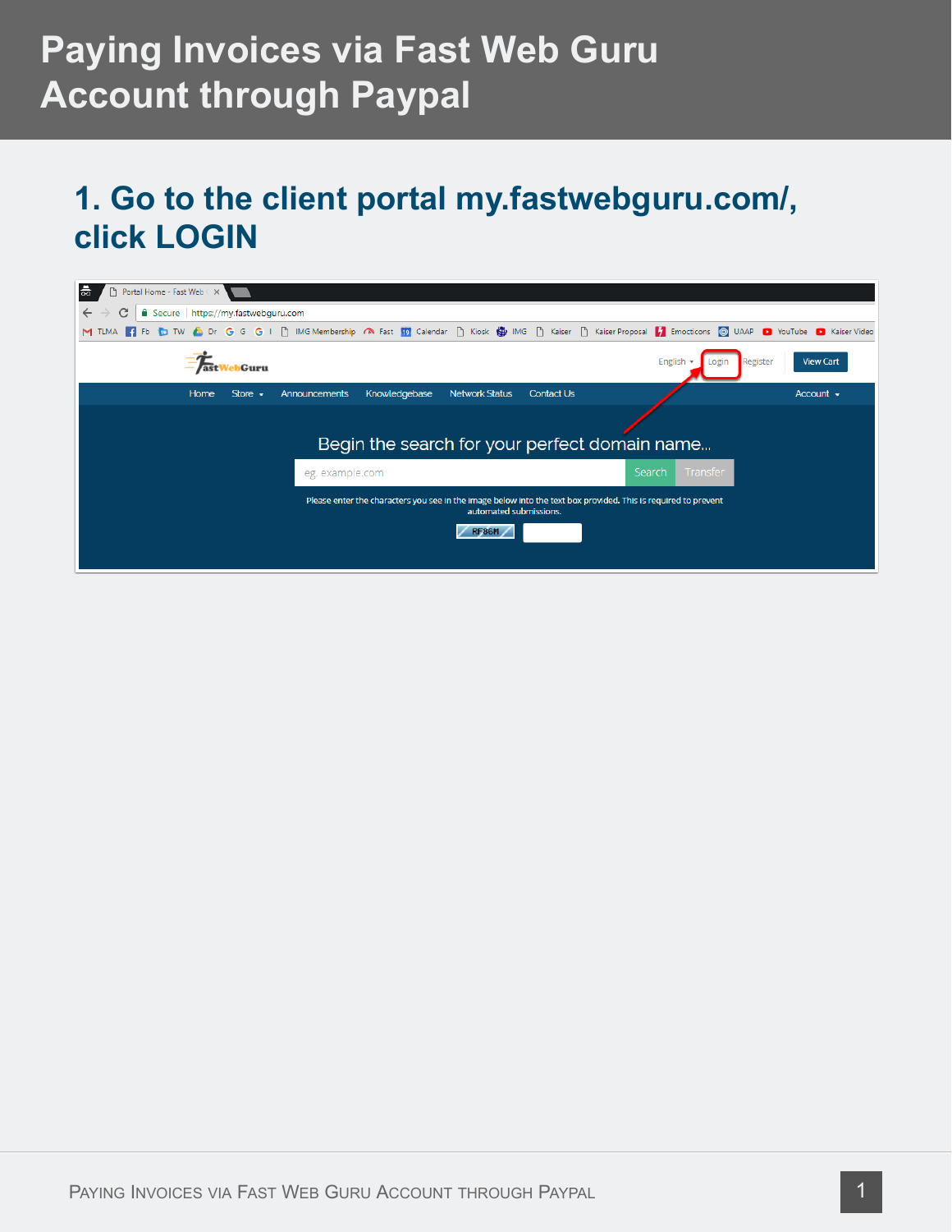#### **1. Go to the client portal my.fastwebguru.com/, click LOGIN**

| ㅎ<br>Portal Home - Fast Web $\subset\!\times\!$        |                                                                                                                                                          |                              |
|--------------------------------------------------------|----------------------------------------------------------------------------------------------------------------------------------------------------------|------------------------------|
| C<br>Secure https://my.fastwebguru.com<br>$\leftarrow$ |                                                                                                                                                          |                              |
| M TLMA                                                 | Fig. Fib. TD TW A Dr G G G I i IMG Membership A Fast 19 Calendar i Kosk (B IMG i Kaiser Proposal T Emocticons @ UAAP D YouTube D Kaiser Video            |                              |
| Guru                                                   | English<br>Login                                                                                                                                         | <b>View Cart</b><br>Register |
| Store $\sim$<br>Home                                   | Knowledgebase<br><b>Network Status</b><br><b>Contact Us</b><br>Announcements                                                                             | Account $\sim$               |
|                                                        | Begin the search for your perfect domain name                                                                                                            |                              |
|                                                        | Transfer<br>Search<br>eg. example.com                                                                                                                    |                              |
|                                                        | Please enter the characters you see in the image below into the text box provided. This is required to prevent<br>automated submissions.<br><b>RF86M</b> |                              |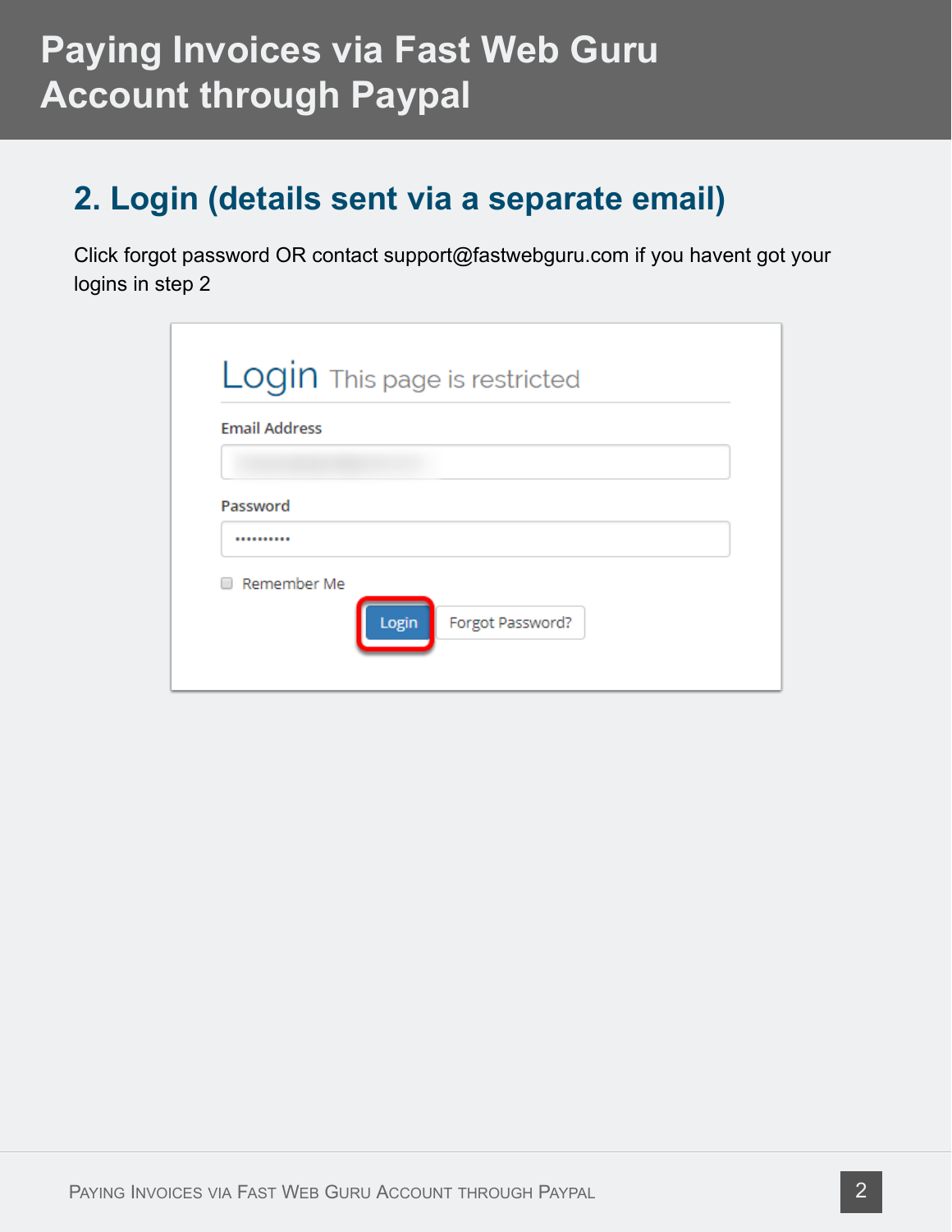#### **2. Login (details sent via a separate email)**

Click forgot password OR contact support@fastwebguru.com if you havent got your logins in step 2

| <b>Email Address</b> |       | Login This page is restricted |  |
|----------------------|-------|-------------------------------|--|
|                      |       |                               |  |
| Password             |       |                               |  |
|                      |       |                               |  |
| Remember Me          |       |                               |  |
|                      | Login | Forgot Password?              |  |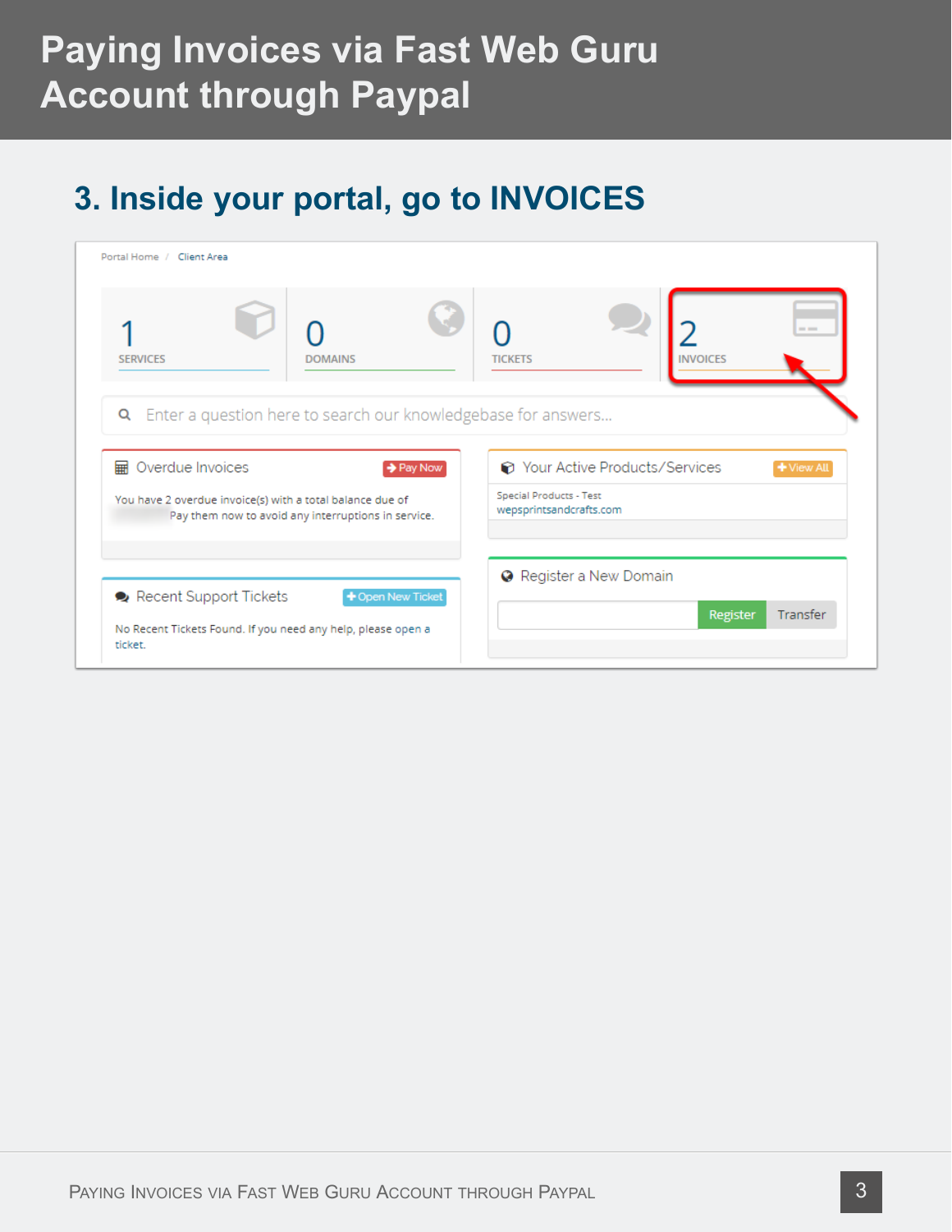### **3. Inside your portal, go to INVOICES**

| Portal Home / Client Area                                                                                                                                                       |                                                                          |
|---------------------------------------------------------------------------------------------------------------------------------------------------------------------------------|--------------------------------------------------------------------------|
| <b>SERVICES</b><br><b>DOMAINS</b>                                                                                                                                               | $= -$<br><b>INVOICES</b><br><b>TICKETS</b>                               |
| <b>Q</b> Enter a question here to search our knowledgebase for answers<br><b>III</b> Overdue Invoices<br>→ Pay Now<br>You have 2 overdue invoice(s) with a total balance due of | ← Your Active Products/Services<br>+ View All<br>Special Products - Test |
| Pay them now to avoid any interruptions in service.<br>Recent Support Tickets<br>+ Open New Ticket                                                                              | wepsprintsandcrafts.com<br><b>O</b> Register a New Domain                |
| No Recent Tickets Found. If you need any help, please open a<br>ticket.                                                                                                         | Register<br>Transfer                                                     |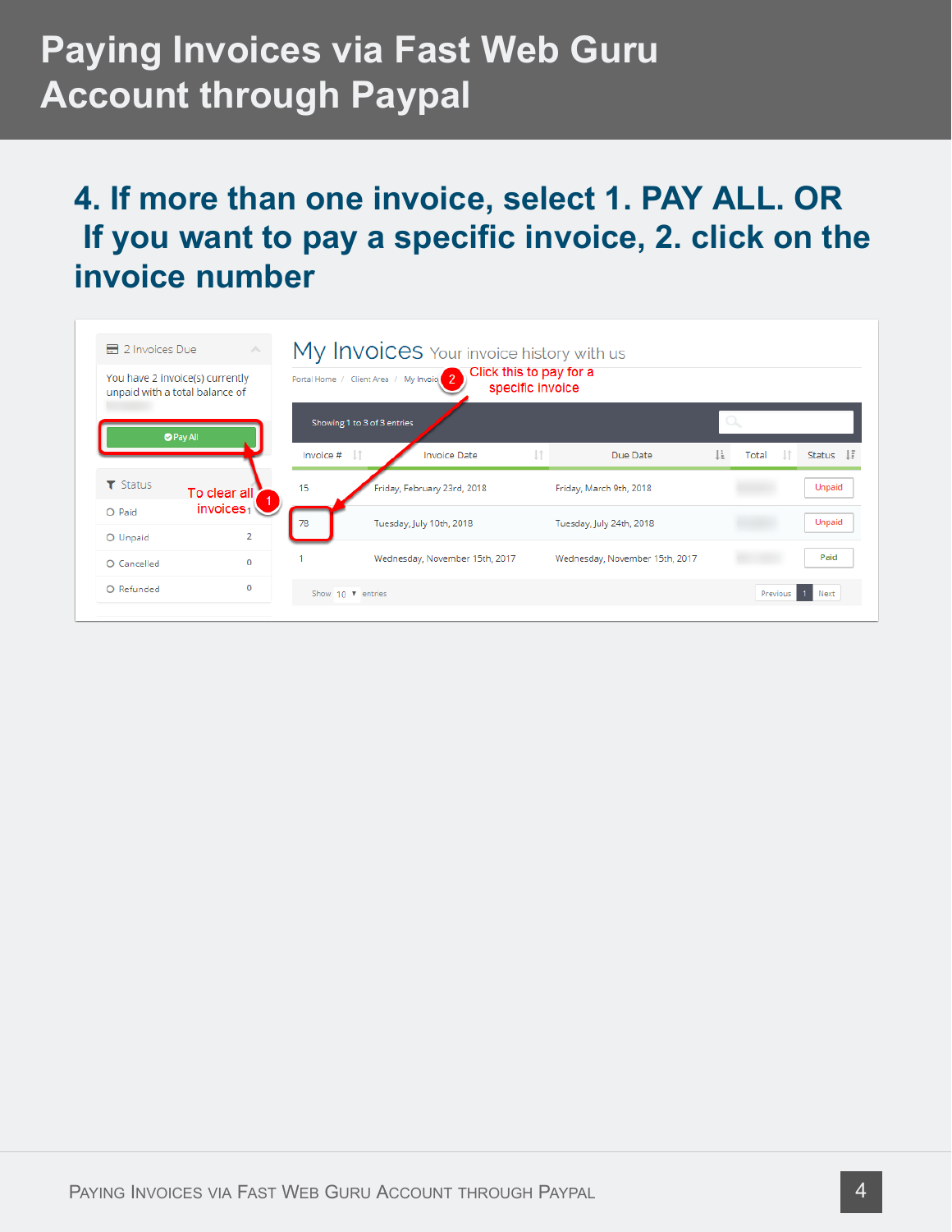### **4. If more than one invoice, select 1. PAY ALL. OR If you want to pay a specific invoice, 2. click on the invoice number**

|                                                                   |                       |                          |                                         | My Invoices Your invoice history with us<br>Click this to pay for a |                                |    |       |                 |
|-------------------------------------------------------------------|-----------------------|--------------------------|-----------------------------------------|---------------------------------------------------------------------|--------------------------------|----|-------|-----------------|
| You have 2 invoice(s) currently<br>unpaid with a total balance of |                       |                          | Portal Home / Client Area / My Invoig 2 | specific invoice                                                    |                                |    |       |                 |
| <b>O</b> Pay All                                                  |                       |                          | Showing 1 to 3 of 3 entries             |                                                                     |                                | a  |       |                 |
|                                                                   |                       | Invoice #                | $\perp$                                 | <b>Invoice Date</b>                                                 | Due Date                       | Ιŧ | Total | Status IF       |
| $\blacktriangledown$ Status                                       | To clear all          | 15                       |                                         | Friday, February 23rd, 2018                                         | Friday, March 9th, 2018        |    |       | Unpaid          |
| O Paid                                                            | invoices <sub>1</sub> | 78                       | Tuesday, July 10th, 2018                |                                                                     | Tuesday, July 24th, 2018       |    |       | <b>Unpaid</b>   |
| O Unpaid                                                          | $\overline{2}$        |                          |                                         |                                                                     |                                |    |       |                 |
| O Cancelled                                                       | $\bf{0}$              |                          |                                         | Wednesday, November 15th, 2017                                      | Wednesday, November 15th, 2017 |    |       | Paid            |
| O Refunded                                                        | 0                     | Show $10 \times$ entries |                                         |                                                                     |                                |    |       | Previous 1 Next |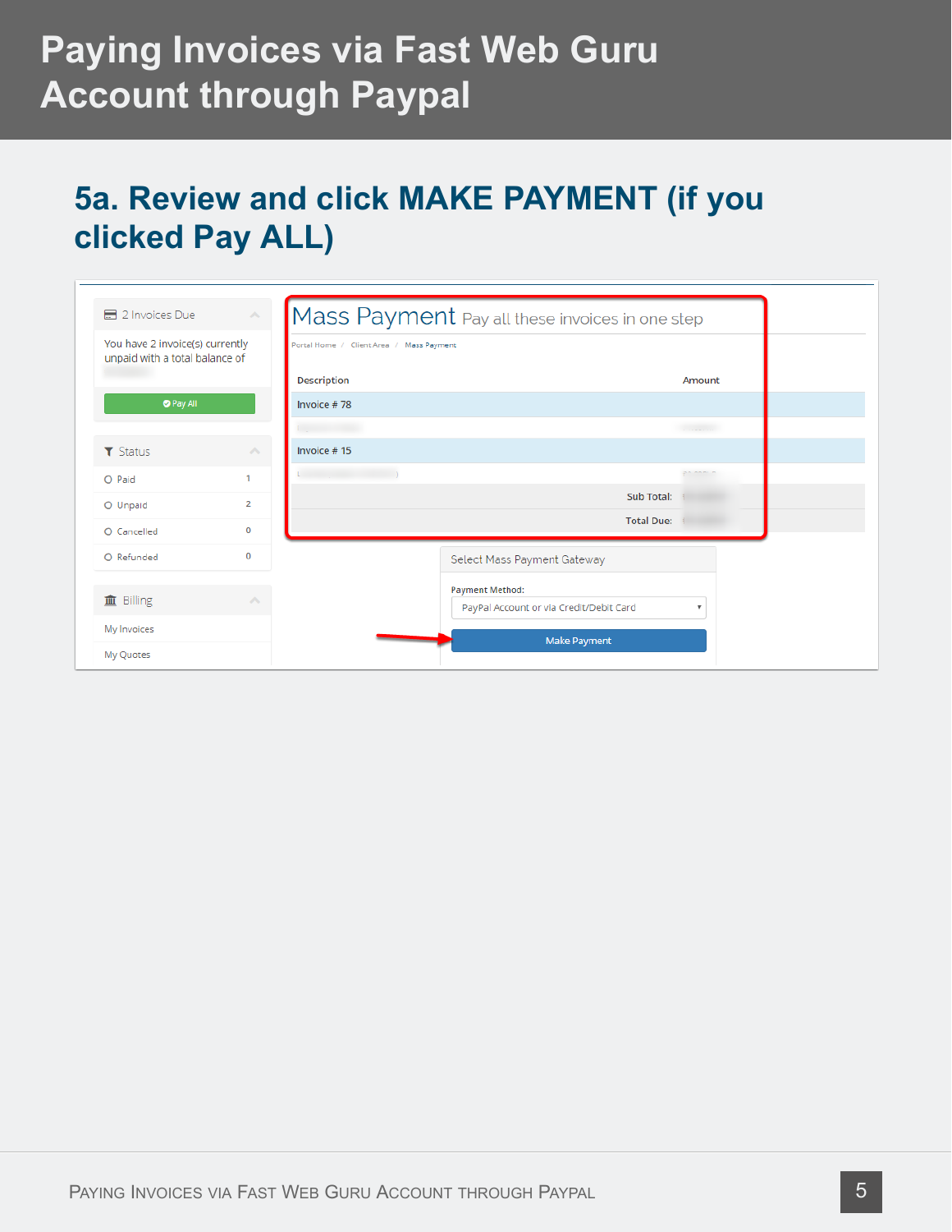### **5a. Review and click MAKE PAYMENT (if you clicked Pay ALL)**

| ■ 2 Invoices Due                                                  | $\mathcal{E}_{\mathcal{N}}$ | Mass Payment Pay all these invoices in one step |                                                                   |           |
|-------------------------------------------------------------------|-----------------------------|-------------------------------------------------|-------------------------------------------------------------------|-----------|
| You have 2 invoice(s) currently<br>unpaid with a total balance of |                             | Portal Home / Client Area / Mass Payment        |                                                                   |           |
|                                                                   |                             | <b>Description</b>                              |                                                                   | Amount    |
| <b>O</b> Pay All                                                  |                             | Invoice #78                                     |                                                                   |           |
|                                                                   |                             |                                                 |                                                                   |           |
| $\top$ Status                                                     | $\mathcal{O}_{\mathcal{N}}$ | Invoice #15                                     |                                                                   |           |
| O Paid                                                            |                             |                                                 |                                                                   | 35 SSSI P |
| O Unpaid                                                          | $\overline{2}$              |                                                 | Sub Total:                                                        |           |
| O Cancelled                                                       | 0                           |                                                 | <b>Total Due:</b>                                                 |           |
| O Refunded                                                        | $\mathbf 0$                 |                                                 | Select Mass Payment Gateway                                       |           |
| 血 Billing                                                         | $\mathcal{O}_\mathcal{N}$   |                                                 | <b>Payment Method:</b><br>PayPal Account or via Credit/Debit Card | v         |
| My Invoices                                                       |                             |                                                 |                                                                   |           |
| My Quotes                                                         |                             |                                                 | <b>Make Payment</b>                                               |           |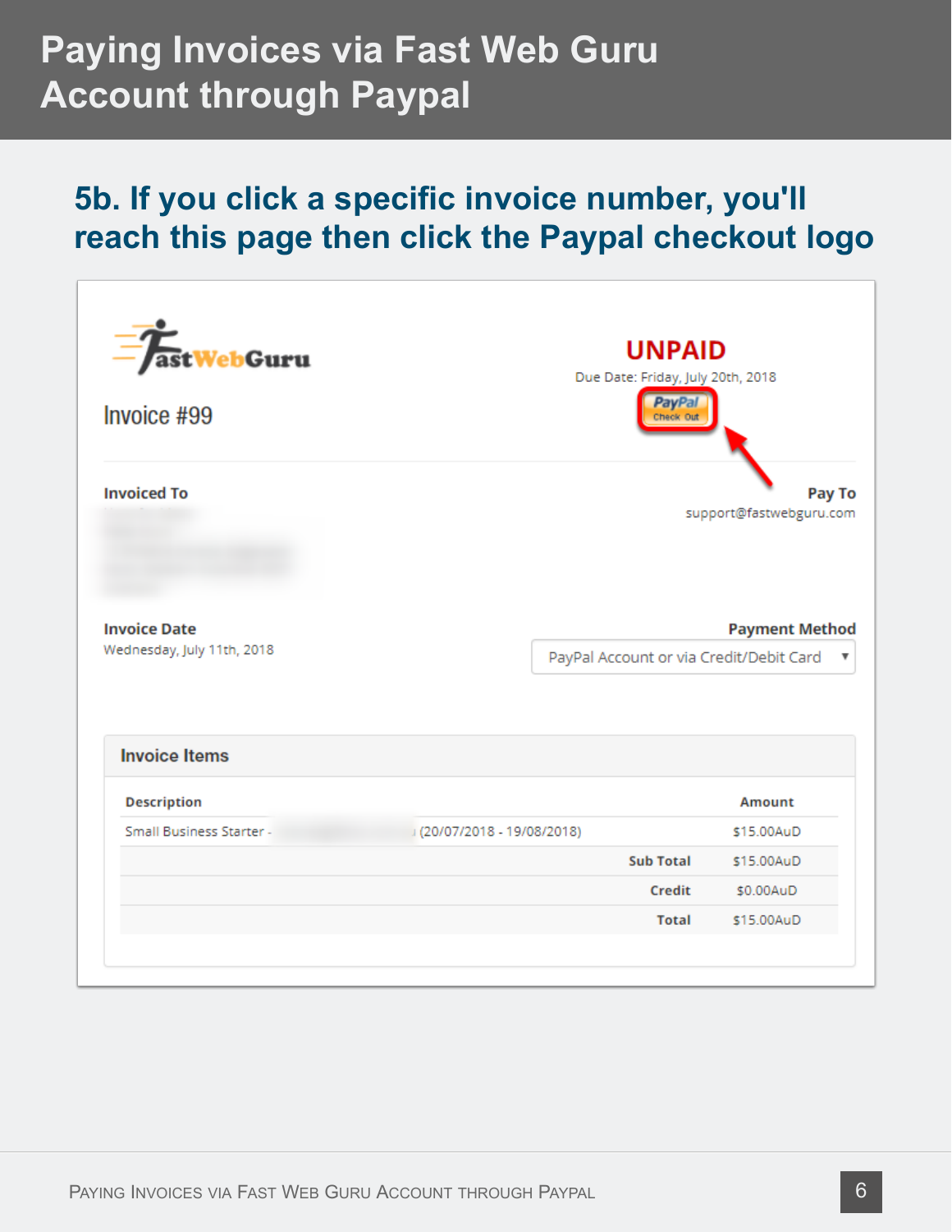#### **5b. If you click a specific invoice number, you'll reach this page then click the Paypal checkout logo**

| <b>astWebGuru</b><br>Invoice #99                  | <b>UNPAID</b><br>Due Date: Friday, July 20th, 2018<br><b>PayPal</b><br>Check Out |                                   |
|---------------------------------------------------|----------------------------------------------------------------------------------|-----------------------------------|
| <b>Invoiced To</b>                                |                                                                                  | Pay To<br>support@fastwebguru.com |
| <b>Invoice Date</b><br>Wednesday, July 11th, 2018 | PayPal Account or via Credit/Debit Card                                          | <b>Payment Method</b><br>▼        |
| <b>Invoice Items</b>                              |                                                                                  |                                   |
| <b>Description</b>                                |                                                                                  | Amount                            |
| Small Business Starter -                          | (20/07/2018 - 19/08/2018)                                                        | \$15,00AuD                        |
|                                                   | <b>Sub Total</b>                                                                 | \$15,00AuD                        |
|                                                   | Credit                                                                           | \$0.00AuD                         |
|                                                   |                                                                                  |                                   |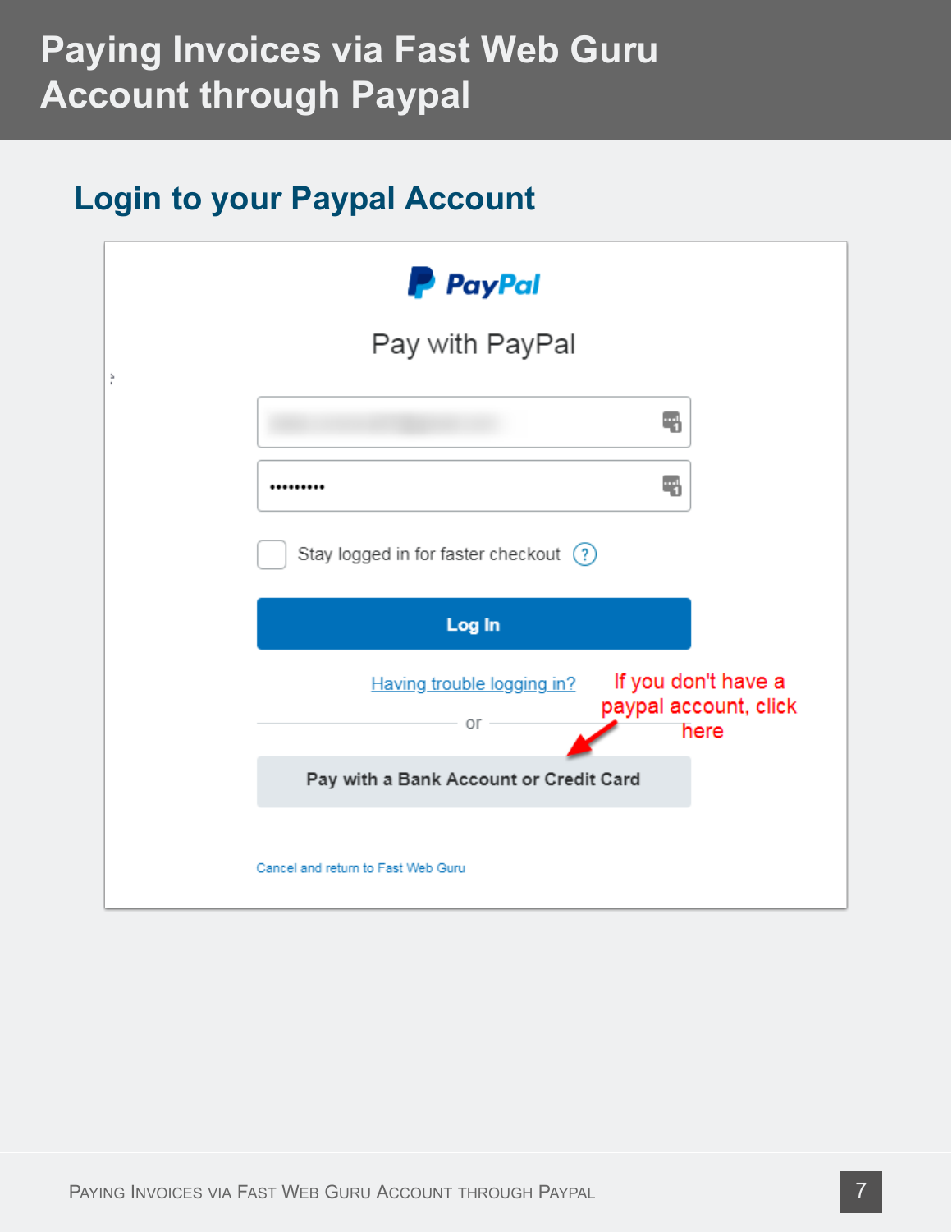#### **Login to your Paypal Account**

|   | <b>P</b> PayPal                        |                                                      |
|---|----------------------------------------|------------------------------------------------------|
| ř | Pay with PayPal                        |                                                      |
|   |                                        | q                                                    |
|   |                                        | 4                                                    |
|   | Stay logged in for faster checkout (?) |                                                      |
|   | Log In                                 |                                                      |
|   | Having trouble logging in?<br>$or -$   | If you don't have a<br>paypal account, click<br>here |
|   | Pay with a Bank Account or Credit Card |                                                      |
|   | Cancel and return to Fast Web Guru     |                                                      |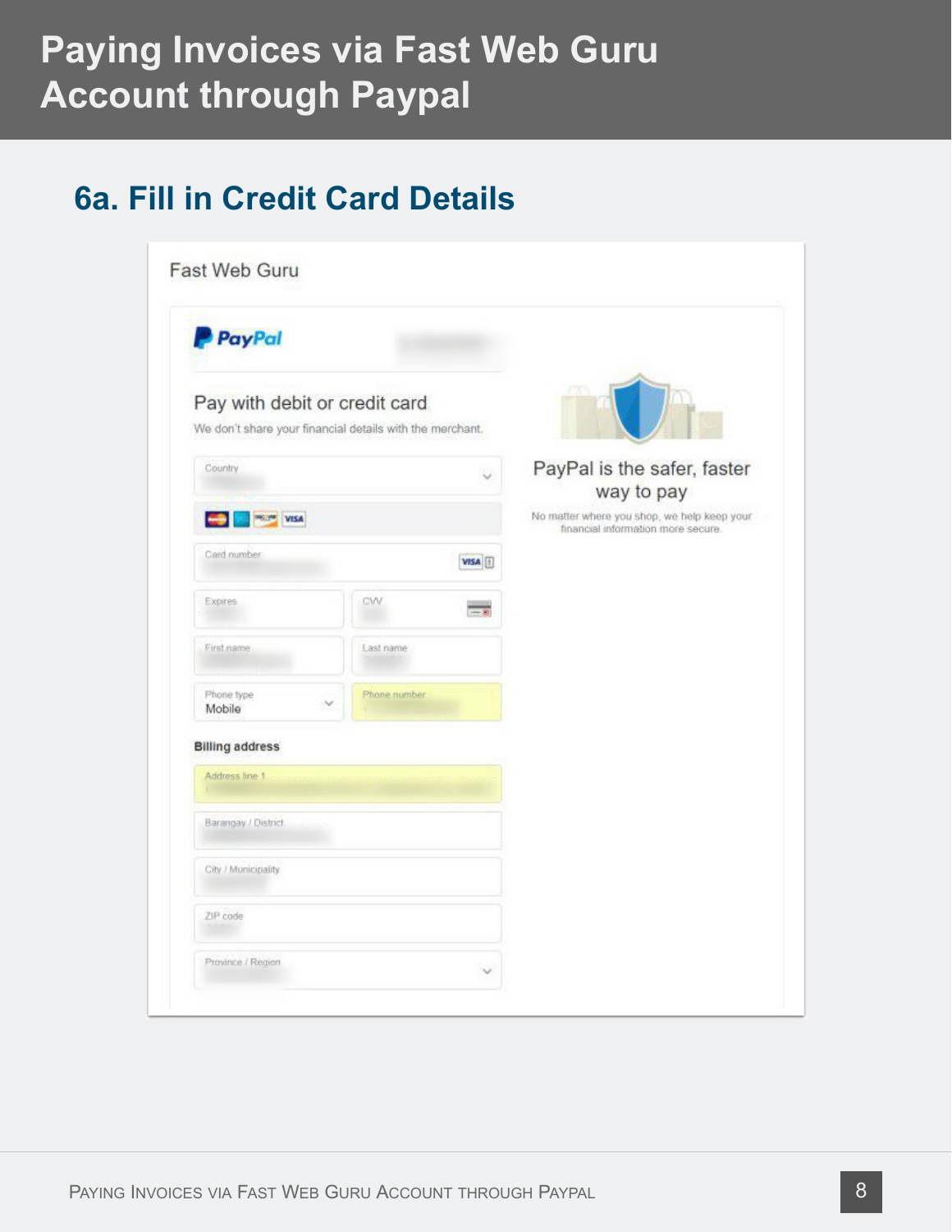### **6a. Fill in Credit Card Details**

| PayPal                                                                                    |                     |                                                                                   |
|-------------------------------------------------------------------------------------------|---------------------|-----------------------------------------------------------------------------------|
| Pay with debit or credit card<br>We don't share your financial details with the merchant. |                     |                                                                                   |
| Country                                                                                   |                     | PayPal is the safer, faster<br>way to pay                                         |
| <b>DREAM VISA</b>                                                                         |                     | No matter where you shop, we help keep your<br>financial information more secure. |
| Card number                                                                               | VISA <sup>[]</sup>  |                                                                                   |
| Expires                                                                                   | CW<br>$\rightarrow$ |                                                                                   |
| First name                                                                                | Last name           |                                                                                   |
| Phone type<br>Mobile                                                                      | Phone number        |                                                                                   |
| <b>Billing address</b>                                                                    |                     |                                                                                   |
| Address line 1                                                                            |                     |                                                                                   |
| Barangay / District                                                                       |                     |                                                                                   |
| City / Municipality                                                                       |                     |                                                                                   |
| ZIP code                                                                                  |                     |                                                                                   |
| Province / Region                                                                         |                     |                                                                                   |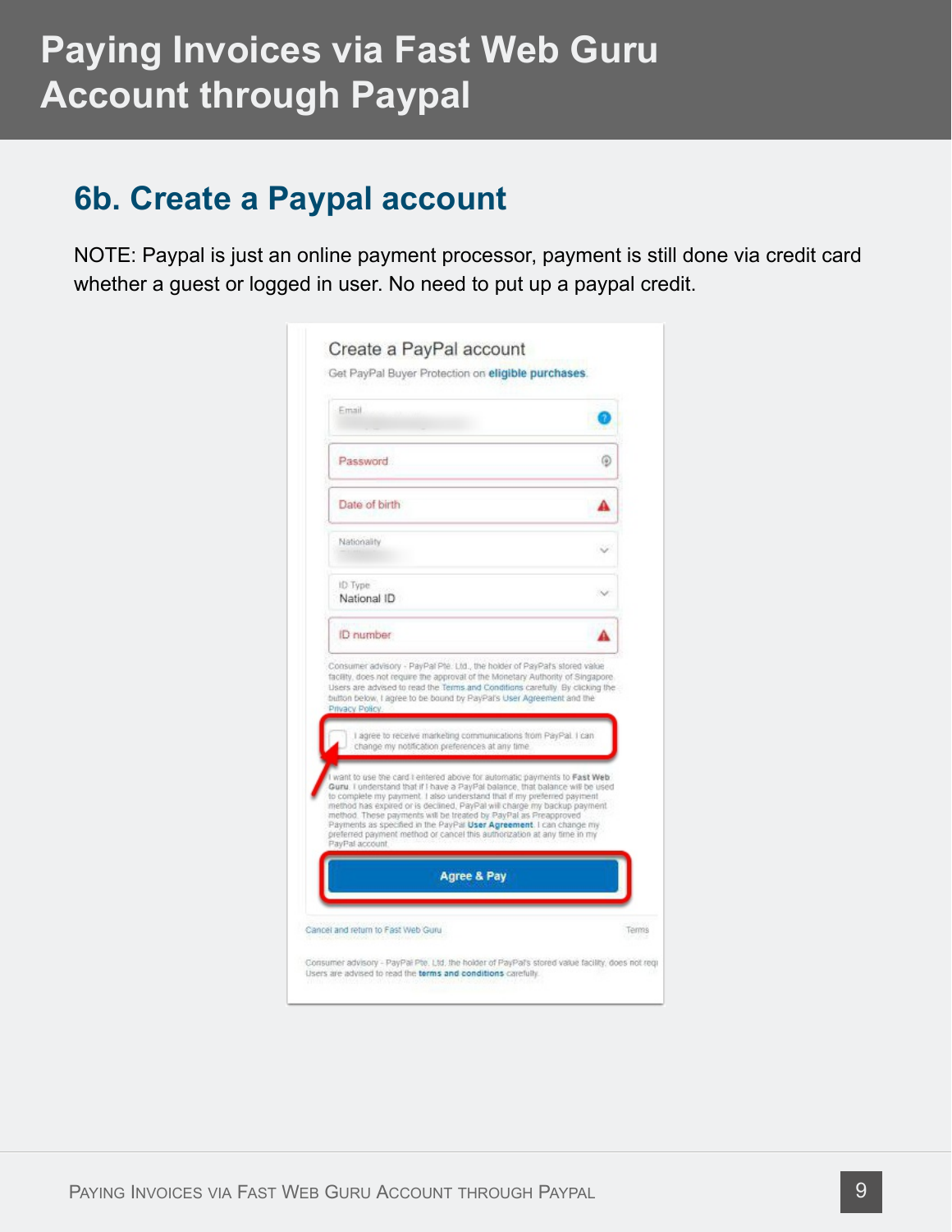#### **6b. Create a Paypal account**

NOTE: Paypal is just an online payment processor, payment is still done via credit card whether a guest or logged in user. No need to put up a paypal credit.

| Password                                                                                                                                                                                                                                                                                                                                                                                                                                                                                                                                               | ⊛ |
|--------------------------------------------------------------------------------------------------------------------------------------------------------------------------------------------------------------------------------------------------------------------------------------------------------------------------------------------------------------------------------------------------------------------------------------------------------------------------------------------------------------------------------------------------------|---|
| Date of birth                                                                                                                                                                                                                                                                                                                                                                                                                                                                                                                                          |   |
| Nationality                                                                                                                                                                                                                                                                                                                                                                                                                                                                                                                                            |   |
| ID Type<br>National ID                                                                                                                                                                                                                                                                                                                                                                                                                                                                                                                                 |   |
| ID number                                                                                                                                                                                                                                                                                                                                                                                                                                                                                                                                              |   |
| Users are advised to read the Terms and Conditions carefully. By clicking the                                                                                                                                                                                                                                                                                                                                                                                                                                                                          |   |
| button below, I agree to be bound by PayPal's User Agreement and the<br>Privacy Policy.<br>I agree to receive marketing communications from PayPal. I can<br>change my notification preferences at any time                                                                                                                                                                                                                                                                                                                                            |   |
| want to use the card I entered above for automatic payments to Fast Web.<br>Guru. I understand that if I have a PayPal balance, that balance will be used<br>to complete my payment. I also understand that if my preferred payment<br>method has expired or is declined. PayPal will charge my backup payment.<br>method. These payments will be treated by PayPal as Preapproved<br>Payments as specified in the PayPat User Agreement. I can change my<br>preferred payment method or cancel this authorization at any time in my<br>PayPal account |   |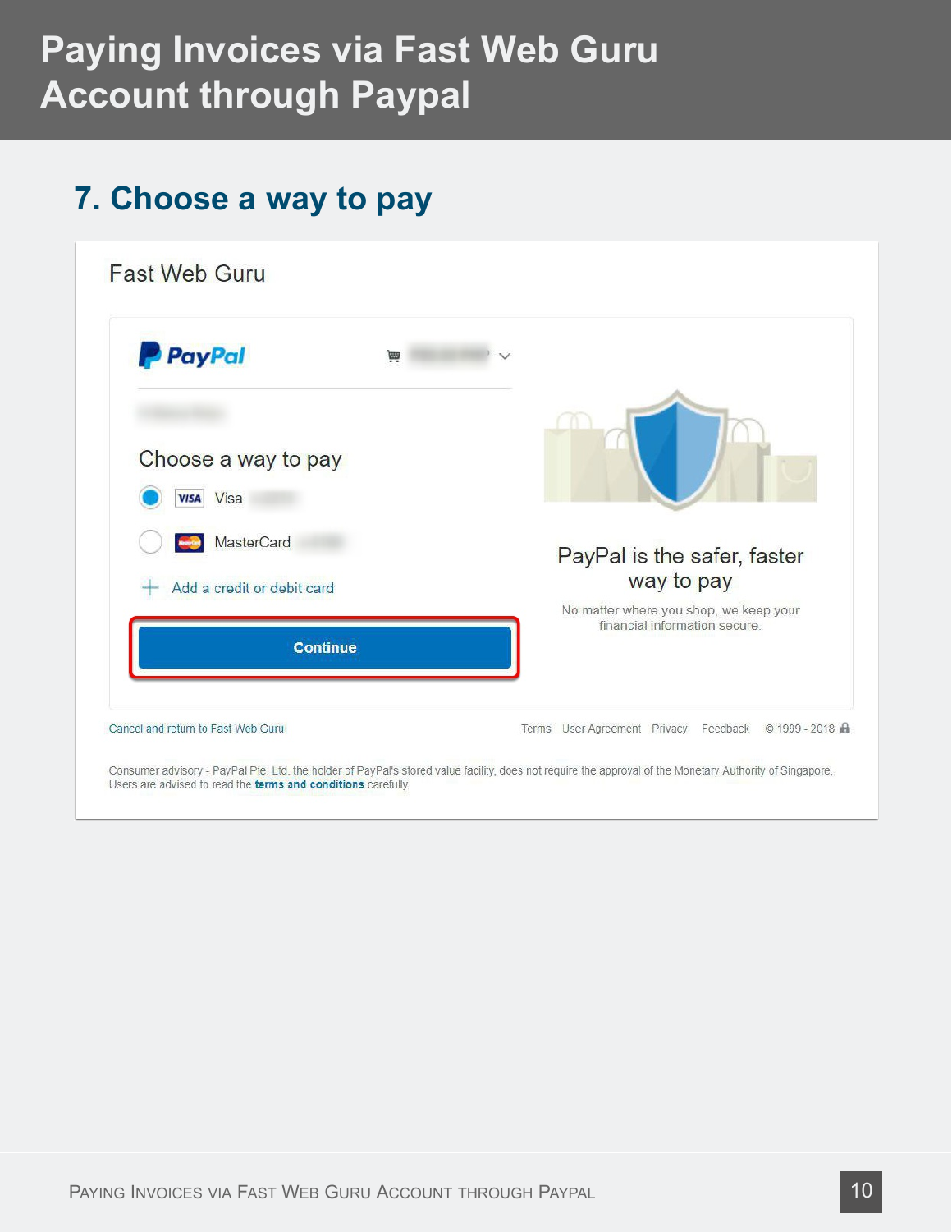### **7. Choose a way to pay**

Users are advised to read the terms and conditions carefully.

| <b>P</b> PayPal                            | Ë               |                                                                        |
|--------------------------------------------|-----------------|------------------------------------------------------------------------|
| Choose a way to pay<br>Visa<br><b>VISA</b> |                 |                                                                        |
| MasterCard<br>Add a credit or debit card   |                 | PayPal is the safer, faster<br>way to pay                              |
|                                            | <b>Continue</b> | No matter where you shop, we keep your<br>financial information secure |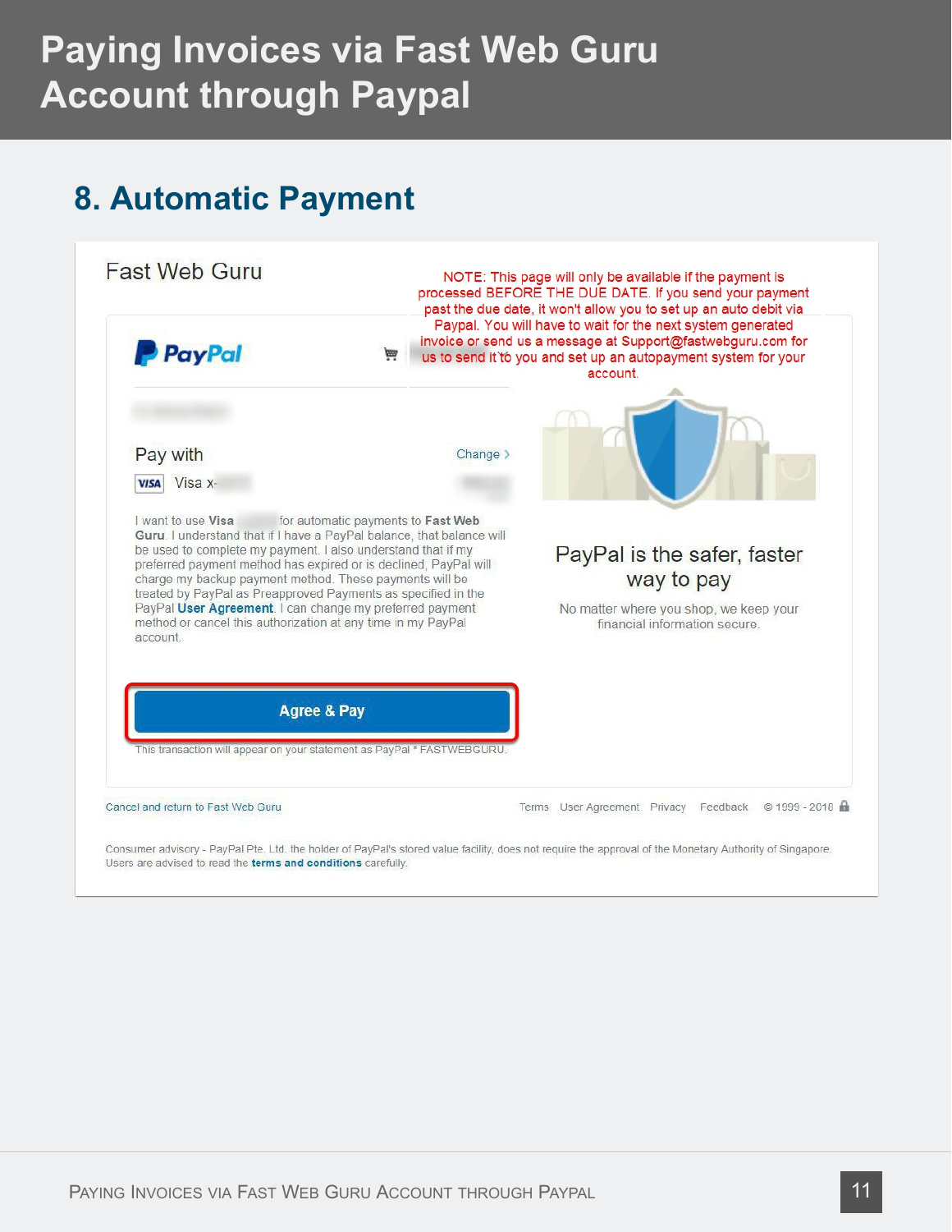### **8. Automatic Payment**



Consumer advisory - PayPal Pte. Ltd. the holder of PayPal's stored value facility, does not require the approval of the Monetary Authority of Singapore. Users are advised to read the terms and conditions carefully.